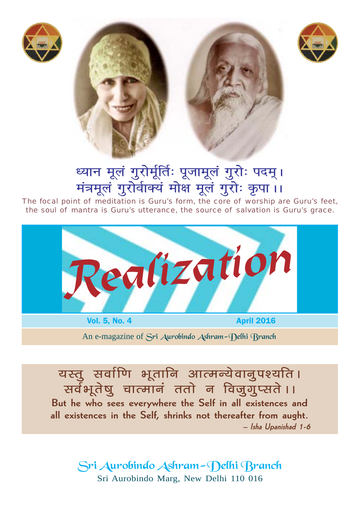





# ध्यान मूलं गुरोर्मूर्तिः पूजामूलं गुरोः पदम्। मंत्रमूलं गुरोर्वाक्यं मोक्ष मूलं गुरोः कृपा।।

*The focal point of meditation is Guru's form, the core of worship are Guru's feet, the soul of mantra is Guru's utterance, the source of salvation is Guru's grace.*



यस्तु सर्वाणि भूतानि आत्मन्येवानुपश्यति। सर्वेभूतेषु चात्मानं ततो न विजुगुप्सते ।। **But he who sees everywhere the Self in all existences and all existences in the Self, shrinks not thereafter from aught. – Isha Upanishad 1-6**

> Sri Aurobindo Ashram-Delhi Branch Sri Aurobindo Marg, New Delhi 110 016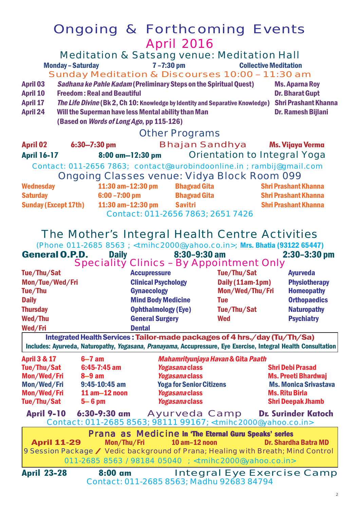|                                                                                                                                                                                                                                                                                                                                                                                                                                                                                                                                                                                                                                                                                  | <b>Ongoing &amp; Forthcoming Events</b>                                                                                                                                                          |                                                                                                                    |                                                                                                                                        |                                                                                         |                       |                                                                                                                   |
|----------------------------------------------------------------------------------------------------------------------------------------------------------------------------------------------------------------------------------------------------------------------------------------------------------------------------------------------------------------------------------------------------------------------------------------------------------------------------------------------------------------------------------------------------------------------------------------------------------------------------------------------------------------------------------|--------------------------------------------------------------------------------------------------------------------------------------------------------------------------------------------------|--------------------------------------------------------------------------------------------------------------------|----------------------------------------------------------------------------------------------------------------------------------------|-----------------------------------------------------------------------------------------|-----------------------|-------------------------------------------------------------------------------------------------------------------|
| <b>April 2016</b><br>Meditation & Satsang venue: Meditation Hall<br>$7 - 7:30$ pm<br><b>Monday - Saturday</b><br><b>Collective Meditation</b><br>Sunday Meditation & Discourses 10:00 - 11:30 am<br>Sadhana ke Pahle Kadam (Preliminary Steps on the Spiritual Quest)<br><b>April 03</b><br><b>Ms. Aparna Roy</b><br><b>April 10</b><br><b>Freedom: Real and Beautiful</b><br><b>Dr. Bharat Gupt</b><br><b>April 17</b><br>The Life Divine (Bk 2, Ch 10: Knowledge by Identity and Separative Knowledge) Shri Prashant Khanna<br><b>April 24</b><br>Will the Superman have less Mental ability than Man<br><b>Dr. Ramesh Bijlani</b><br>(Based on Words of Long Ago, pp 115-126) |                                                                                                                                                                                                  |                                                                                                                    |                                                                                                                                        |                                                                                         |                       |                                                                                                                   |
|                                                                                                                                                                                                                                                                                                                                                                                                                                                                                                                                                                                                                                                                                  |                                                                                                                                                                                                  |                                                                                                                    | <b>Other Programs</b>                                                                                                                  |                                                                                         |                       |                                                                                                                   |
| April 02 6:30-7:30 pm                                                                                                                                                                                                                                                                                                                                                                                                                                                                                                                                                                                                                                                            |                                                                                                                                                                                                  |                                                                                                                    |                                                                                                                                        | Bhajan Sandhya Ms. Vijaya Verma                                                         |                       |                                                                                                                   |
| <b>April 16-17</b>                                                                                                                                                                                                                                                                                                                                                                                                                                                                                                                                                                                                                                                               |                                                                                                                                                                                                  | 8:00 am–12:30 pm                                                                                                   |                                                                                                                                        | Orientation to Integral Yoga                                                            |                       |                                                                                                                   |
| <b>Wednesday</b><br><b>Saturday</b><br><b>Sunday (Except 17th)</b>                                                                                                                                                                                                                                                                                                                                                                                                                                                                                                                                                                                                               | Contact: 011-2656 7863; contact@aurobindoonline.in ; rambij@gmail.com<br>Ongoing Classes venue: Vidya Block Room 099                                                                             | 11:30 am-12:30 pm<br>6:00 – 7:00 pm Bhagvad Gita<br>11:30 am-12:30 pm Savitri<br>Contact: 011-2656 7863; 2651 7426 | <b>Bhagvad Gita</b>                                                                                                                    |                                                                                         |                       | <b>Shri Prashant Khanna</b><br><b>Shri Prashant Khanna</b><br><b>Shri Prashant Khanna</b>                         |
| <b>General O.P.D.</b><br>Tue/Thu/Sat<br>Mon/Tue/Wed/Fri<br>Tue/Thu<br><b>Daily</b>                                                                                                                                                                                                                                                                                                                                                                                                                                                                                                                                                                                               | The Mother's Integral Health Centre Activities<br>(Phone 011-2685 8563 ; <tmihc2000@yahoo.co.in>; Mrs. Bhatia (93122 65447)<br/>Speciality Clinics - By Appointment Only</tmihc2000@yahoo.co.in> | <b>Daily</b><br><b>Accupressure</b><br><b>Clinical Psychology</b><br><b>Mind Body Medicine</b>                     | $8:30 - 9:30$ am                                                                                                                       | Tue/Thu/Sat<br>Daily (11am-1pm)<br>Gynaecology Mon/Wed/Thu/Fri Homeopathy<br><b>Tue</b> |                       | $2:30 - 3:30$ pm<br><b>Ayurveda</b><br><b>Physiotherapy</b><br><b>Orthopaedics</b>                                |
| <b>Thursday</b>                                                                                                                                                                                                                                                                                                                                                                                                                                                                                                                                                                                                                                                                  |                                                                                                                                                                                                  | <b>Ophthalmology (Eye)</b>                                                                                         |                                                                                                                                        | Tue/Thu/Sat                                                                             |                       | <b>Naturopathy</b>                                                                                                |
| Wed/Thu<br>Wed/Fri                                                                                                                                                                                                                                                                                                                                                                                                                                                                                                                                                                                                                                                               |                                                                                                                                                                                                  | <b>General Surgery</b><br><b>Dental</b>                                                                            |                                                                                                                                        | <b>Wed</b>                                                                              |                       | <b>Psychiatry</b>                                                                                                 |
| Integrated Health Services: Tailor-made packages of 4 hrs./day (Tu/Th/Sa)<br>Includes: Ayurveda, Naturopathy, <i>Yogasana, Pranayama</i> , Accupressure, Eye Exercise, Integral Health Consultation                                                                                                                                                                                                                                                                                                                                                                                                                                                                              |                                                                                                                                                                                                  |                                                                                                                    |                                                                                                                                        |                                                                                         |                       |                                                                                                                   |
| <b>April 3 &amp; 17</b><br>Tue/Thu/Sat<br>Mon/Wed/Fri<br>Mon/Wed/Fri<br>Mon/Wed/Fri<br>Tue/Thu/Sat                                                                                                                                                                                                                                                                                                                                                                                                                                                                                                                                                                               | $6 - 7$ am<br>$6:45-7:45$ am<br>$8-9$ am<br>$9:45-10:45$ am<br>11 am-12 noon<br>$5 - 6$ pm                                                                                                       |                                                                                                                    | <i><b>Yogasanaclass</b></i><br><b>Yogasanaclass</b><br><b>Yoga for Senior Citizens</b><br><b>Yogasanaclass</b><br><b>Yogasanaclass</b> | Mahamrityunjaya Havan & Gita Paath                                                      | <b>Ms. Ritu Birla</b> | <b>Shri Debi Prasad</b><br><b>Ms. Preeti Bhardwaj</b><br><b>Ms. Monica Srivastava</b><br><b>Shri Deepak Jhamb</b> |
| <b>Dr. Surinder Katoch</b><br>April 9-10 6:30-9:30 am<br>Ayurveda Camp<br>Contact: 011-2685 8563; 98111 99167; <tmihc2000@yahoo.co.in></tmihc2000@yahoo.co.in>                                                                                                                                                                                                                                                                                                                                                                                                                                                                                                                   |                                                                                                                                                                                                  |                                                                                                                    |                                                                                                                                        |                                                                                         |                       |                                                                                                                   |
| <b>April 11-29</b><br>9 Session Package / Vedic background of Prana; Healing with Breath; Mind Control                                                                                                                                                                                                                                                                                                                                                                                                                                                                                                                                                                           | Mon/Thu/Fri<br>011-2685 8563 / 98184 05040 ; <tmihc2000@yahoo.co.in></tmihc2000@yahoo.co.in>                                                                                                     |                                                                                                                    | $10$ am- $12$ noon                                                                                                                     | Prana as Medicine in 'The Eternal Guru Speaks' series                                   |                       | <b>Dr. Shardha Batra MD</b>                                                                                       |
| <b>April 23-28</b>                                                                                                                                                                                                                                                                                                                                                                                                                                                                                                                                                                                                                                                               | $8:00$ am                                                                                                                                                                                        |                                                                                                                    |                                                                                                                                        | Contact: 011-2685 8563; Madhu 92683 84794                                               |                       | Integral Eye Exercise Camp                                                                                        |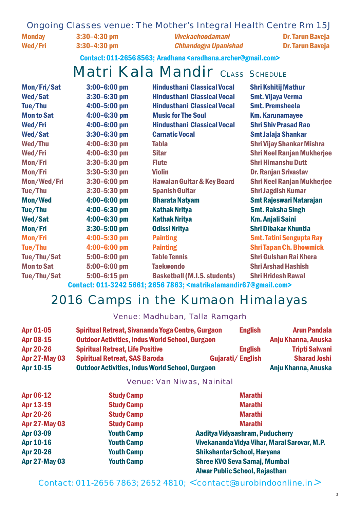| Ongoing Classes venue: The Mother's Integral Health Centre Rm 15J |                                  |                                                                                          |                                                    |  |  |  |
|-------------------------------------------------------------------|----------------------------------|------------------------------------------------------------------------------------------|----------------------------------------------------|--|--|--|
| <b>Monday</b><br>Wed/Fri                                          | $3:30-4:30$ pm<br>$3:30-4:30$ pm | <b>Vivekachoodamani</b><br><b>Chhandogya Upanishad</b>                                   | <b>Dr. Tarun Baveja</b><br><b>Dr. Tarun Baveja</b> |  |  |  |
|                                                                   |                                  | Contact: 011-2656 8563; Aradhana <aradhana.archer@gmail.com></aradhana.archer@gmail.com> |                                                    |  |  |  |
|                                                                   | Matri Kala Mandir CLASS SCHEDULE |                                                                                          |                                                    |  |  |  |
| Mon/Fri/Sat                                                       | $3:00 - 6:00$ pm                 | <b>Hindusthani Classical Vocal</b>                                                       | <b>Shri Kshitij Mathur</b>                         |  |  |  |
| Wed/Sat                                                           | $3:30 - 6:30$ pm                 | <b>Hindusthani Classical Vocal</b>                                                       | <b>Smt. Vijaya Verma</b>                           |  |  |  |
| Tue/Thu                                                           | 4:00-5:00 pm                     | <b>Hindusthani Classical Vocal</b>                                                       | <b>Smt. Premsheela</b>                             |  |  |  |
| <b>Mon to Sat</b>                                                 | $4:00 - 6:30$ pm                 | <b>Music for The Soul</b>                                                                | <b>Km. Karunamayee</b>                             |  |  |  |
| Wed/Fri                                                           | $4:00 - 6:00$ pm                 | <b>Hindusthani Classical Vocal</b>                                                       | <b>Shri Shiv Prasad Rao</b>                        |  |  |  |
| Wed/Sat                                                           | $3:30-6:30$ pm                   | <b>Carnatic Vocal</b>                                                                    | <b>Smt Jalaja Shankar</b>                          |  |  |  |
| Wed/Thu                                                           | 4:00-6:30 pm                     | <b>Tabla</b>                                                                             | <b>Shri Vijay Shankar Mishra</b>                   |  |  |  |
| Wed/Fri                                                           | 4:00-6:30 pm                     | <b>Sitar</b>                                                                             | <b>Shri Neel Ranjan Mukherjee</b>                  |  |  |  |
| Mon/Fri                                                           | $3:30 - 5:30$ pm                 | <b>Flute</b>                                                                             | <b>Shri Himanshu Dutt</b>                          |  |  |  |
| Mon/Fri                                                           | $3:30 - 5:30$ pm                 | <b>Violin</b>                                                                            | <b>Dr. Ranjan Srivastav</b>                        |  |  |  |
| Mon/Wed/Fri                                                       | $3:30 - 6:00$ pm                 | <b>Hawaian Guitar &amp; Key Board</b>                                                    | <b>Shri Neel Ranjan Mukherjee</b>                  |  |  |  |
| Tue/Thu                                                           | $3:30 - 5:30$ pm                 | <b>Spanish Guitar</b>                                                                    | <b>Shri Jagdish Kumar</b>                          |  |  |  |
| Mon/Wed                                                           | 4:00-6:00 pm                     | <b>Bharata Natyam</b>                                                                    | <b>Smt Rajeswari Natarajan</b>                     |  |  |  |
| Tue/Thu                                                           | 4:00-6:30 pm                     | <b>Kathak Nritya</b>                                                                     | <b>Smt. Raksha Singh</b>                           |  |  |  |
| Wed/Sat                                                           | $4:00 - 6:30$ pm                 | <b>Kathak Nritya</b>                                                                     | <b>Km. Anjali Saini</b>                            |  |  |  |
| Mon/Fri                                                           | $3:30 - 5:00$ pm                 | Odissi Nritya                                                                            | <b>Shri Dibakar Khuntia</b>                        |  |  |  |
| Mon/Fri                                                           | 4:00-5:30 pm                     | <b>Painting</b>                                                                          | <b>Smt. Tatini Sengupta Ray</b>                    |  |  |  |
| Tue/Thu                                                           | 4:00-6:00 pm                     | <b>Painting</b>                                                                          | <b>Shri Tapan Ch. Bhowmick</b>                     |  |  |  |
| Tue/Thu/Sat                                                       | 5:00-6:00 pm                     | <b>Table Tennis</b>                                                                      | <b>Shri Gulshan Rai Khera</b>                      |  |  |  |
| <b>Mon to Sat</b>                                                 | $5:00 - 6:00$ pm                 | <b>Taekwondo</b>                                                                         | <b>Shri Arshad Hashish</b>                         |  |  |  |
| Tue/Thu/Sat                                                       | $5:00 - 6:15$ pm                 | <b>Basketball (M.I.S. students)</b>                                                      | <b>Shri Hridesh Rawal</b>                          |  |  |  |

Contact: 011-3242 5661; 2656 7863; <matrikalamandir67@gmail.com>

## 2016 Camps in the Kumaon Himalayas

Venue: Madhuban, Talla Ramgarh

| <b>Apr 01-05</b>     | Spiritual Retreat, Sivananda Yoga Centre, Gurgaon      | <b>English</b>   | <b>Arun Pandala</b>   |
|----------------------|--------------------------------------------------------|------------------|-----------------------|
| <b>Apr 08-15</b>     | <b>Outdoor Activities, Indus World School, Gurgaon</b> |                  | Anju Khanna, Anuska   |
| <b>Apr 20-26</b>     | <b>Spiritual Retreat, Life Positive</b>                | <b>English</b>   | <b>Tripti Salwani</b> |
| <b>Apr 27-May 03</b> | <b>Spiritual Retreat, SAS Baroda</b>                   | Gujarati/English | <b>Sharad Joshi</b>   |
| <b>Apr 10-15</b>     | <b>Outdoor Activities, Indus World School, Gurgaon</b> |                  | Anju Khanna, Anuska   |

### Venue: Van Niwas, Nainital

| <b>Apr 06-12</b>     | <b>Study Camp</b> | <b>Marathi</b>                               |
|----------------------|-------------------|----------------------------------------------|
| <b>Apr 13-19</b>     | <b>Study Camp</b> | <b>Marathi</b>                               |
| <b>Apr 20-26</b>     | <b>Study Camp</b> | <b>Marathi</b>                               |
| <b>Apr 27-May 03</b> | <b>Study Camp</b> | <b>Marathi</b>                               |
| <b>Apr 03-09</b>     | <b>Youth Camp</b> | <b>Aaditya Vidyaashram, Puducherry</b>       |
| <b>Apr 10-16</b>     | <b>Youth Camp</b> | Vivekananda Vidya Vihar, Maral Sarovar, M.P. |
| <b>Apr 20-26</b>     | <b>Youth Camp</b> | <b>Shikshantar School, Haryana</b>           |
| <b>Apr 27-May 03</b> | <b>Youth Camp</b> | <b>Shree KVO Seva Samaj, Mumbai</b>          |
|                      |                   | <b>Alwar Public School, Rajasthan</b>        |

*Contact: 011-2656 7863; 2652 4810;* **<***contact@aurobindoonline.in***>**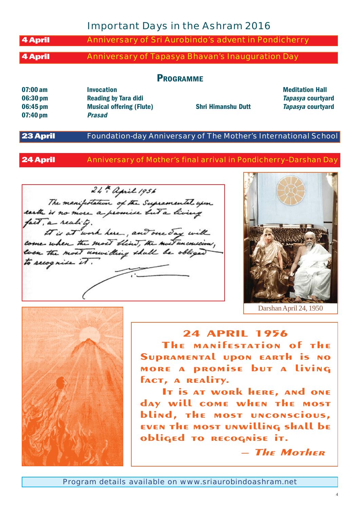### Important Days in the Ashram 2016

| <b>4 April</b>                               |                                                                                                      | Anniversary of Sri Aurobindo's advent in Pondicherry             |                                                                  |  |
|----------------------------------------------|------------------------------------------------------------------------------------------------------|------------------------------------------------------------------|------------------------------------------------------------------|--|
| <b>4 April</b>                               | Anniversary of Tapasya Bhavan's Inauguration Day                                                     |                                                                  |                                                                  |  |
| <b>PROGRAMME</b>                             |                                                                                                      |                                                                  |                                                                  |  |
| 07:00 am<br>06:30 pm<br>06:45 pm<br>07:40 pm | <b>Invocation</b><br><b>Reading by Tara didi</b><br><b>Musical offering (Flute)</b><br><b>Prasad</b> | <b>Shri Himanshu Dutt</b>                                        | <b>Meditation Hall</b><br>Tapasya courtyard<br>Tapasya courtyard |  |
| <b>23 April</b>                              |                                                                                                      | Foundation-day Anniversary of The Mother's International School  |                                                                  |  |
|                                              |                                                                                                      |                                                                  |                                                                  |  |
| <b>24 April</b>                              |                                                                                                      | Anniversary of Mother's final arrival in Pondicherry-Darshan Day |                                                                  |  |
|                                              |                                                                                                      |                                                                  |                                                                  |  |

24 th april 1956 The manifestation of the Supramental upon fact, a reality. It is at work here, and one day will come when the most blind, the most unconscious, loca the most unwilling shall be obliged to recognize it.



Darshan April 24, 1950



#### 24 APRIL 1956

The manifestation of the Supramental upon earth is no more a promise but a living fact, a reality.

It is at work here, and one day will come when the most blind, the most unconscious, even the most unwilling shall be obliged to recognise it.

– The Mother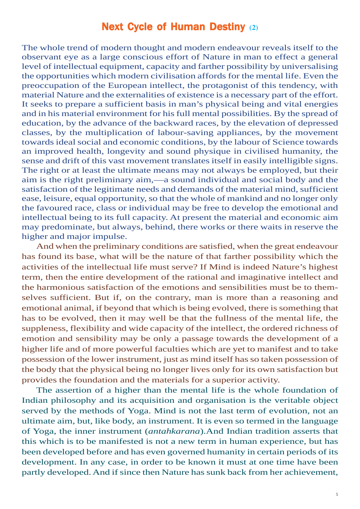### **Next Cycle of Human Destiny (2)**

The whole trend of modern thought and modern endeavour reveals itself to the observant eye as a large conscious effort of Nature in man to effect a general level of intellectual equipment, capacity and farther possibility by universalising the opportunities which modern civilisation affords for the mental life. Even the preoccupation of the European intellect, the protagonist of this tendency, with material Nature and the externalities of existence is a necessary part of the effort. It seeks to prepare a sufficient basis in man's physical being and vital energies and in his material environment for his full mental possibilities. By the spread of education, by the advance of the backward races, by the elevation of depressed classes, by the multiplication of labour-saving appliances, by the movement towards ideal social and economic conditions, by the labour of Science towards an improved health, longevity and sound physique in civilised humanity, the sense and drift of this vast movement translates itself in easily intelligible signs. The right or at least the ultimate means may not always be employed, but their aim is the right preliminary aim,—a sound individual and social body and the satisfaction of the legitimate needs and demands of the material mind, sufficient ease, leisure, equal opportunity, so that the whole of mankind and no longer only the favoured race, class or individual may be free to develop the emotional and intellectual being to its full capacity. At present the material and economic aim may predominate, but always, behind, there works or there waits in reserve the higher and major impulse.

And when the preliminary conditions are satisfied, when the great endeavour has found its base, what will be the nature of that farther possibility which the activities of the intellectual life must serve? If Mind is indeed Nature's highest term, then the entire development of the rational and imaginative intellect and the harmonious satisfaction of the emotions and sensibilities must be to themselves sufficient. But if, on the contrary, man is more than a reasoning and emotional animal, if beyond that which is being evolved, there is something that has to be evolved, then it may well be that the fullness of the mental life, the suppleness, flexibility and wide capacity of the intellect, the ordered richness of emotion and sensibility may be only a passage towards the development of a higher life and of more powerful faculties which are yet to manifest and to take possession of the lower instrument, just as mind itself has so taken possession of the body that the physical being no longer lives only for its own satisfaction but provides the foundation and the materials for a superior activity.

The assertion of a higher than the mental life is the whole foundation of Indian philosophy and its acquisition and organisation is the veritable object served by the methods of Yoga. Mind is not the last term of evolution, not an ultimate aim, but, like body, an instrument. It is even so termed in the language of Yoga, the inner instrument (*antahkarana*).And Indian tradition asserts that this which is to be manifested is not a new term in human experience, but has been developed before and has even governed humanity in certain periods of its development. In any case, in order to be known it must at one time have been partly developed. And if since then Nature has sunk back from her achievement,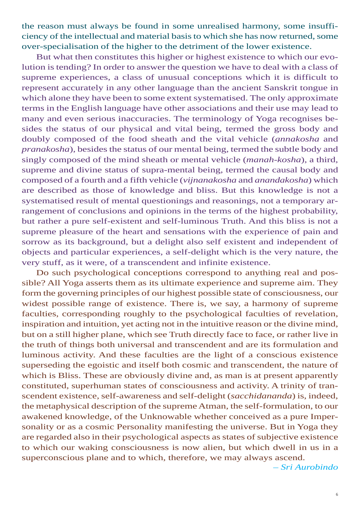the reason must always be found in some unrealised harmony, some insufficiency of the intellectual and material basis to which she has now returned, some over-specialisation of the higher to the detriment of the lower existence.

But what then constitutes this higher or highest existence to which our evolution is tending? In order to answer the question we have to deal with a class of supreme experiences, a class of unusual conceptions which it is difficult to represent accurately in any other language than the ancient Sanskrit tongue in which alone they have been to some extent systematised. The only approximate terms in the English language have other associations and their use may lead to many and even serious inaccuracies. The terminology of Yoga recognises besides the status of our physical and vital being, termed the gross body and doubly composed of the food sheath and the vital vehicle (*annakosha* and *pranakosha*), besides the status of our mental being, termed the subtle body and singly composed of the mind sheath or mental vehicle (*manah-kosha*), a third, supreme and divine status of supra-mental being, termed the causal body and composed of a fourth and a fifth vehicle (*vijnanakosha* and *anandakosha*) which are described as those of knowledge and bliss. But this knowledge is not a systematised result of mental questionings and reasonings, not a temporary arrangement of conclusions and opinions in the terms of the highest probability, but rather a pure self-existent and self-luminous Truth. And this bliss is not a supreme pleasure of the heart and sensations with the experience of pain and sorrow as its background, but a delight also self existent and independent of objects and particular experiences, a self-delight which is the very nature, the very stuff, as it were, of a transcendent and infinite existence.

Do such psychological conceptions correspond to anything real and possible? All Yoga asserts them as its ultimate experience and supreme aim. They form the governing principles of our highest possible state of consciousness, our widest possible range of existence. There is, we say, a harmony of supreme faculties, corresponding roughly to the psychological faculties of revelation, inspiration and intuition, yet acting not in the intuitive reason or the divine mind, but on a still higher plane, which see Truth directly face to face, or rather live in the truth of things both universal and transcendent and are its formulation and luminous activity. And these faculties are the light of a conscious existence superseding the egoistic and itself both cosmic and transcendent, the nature of which is Bliss. These are obviously divine and, as man is at present apparently constituted, superhuman states of consciousness and activity. A trinity of transcendent existence, self-awareness and self-delight (*sacchidananda*) is, indeed, the metaphysical description of the supreme Atman, the self-formulation, to our awakened knowledge, of the Unknowable whether conceived as a pure Impersonality or as a cosmic Personality manifesting the universe. But in Yoga they are regarded also in their psychological aspects as states of subjective existence to which our waking consciousness is now alien, but which dwell in us in a superconscious plane and to which, therefore, we may always ascend.

– *Sri Aurobindo*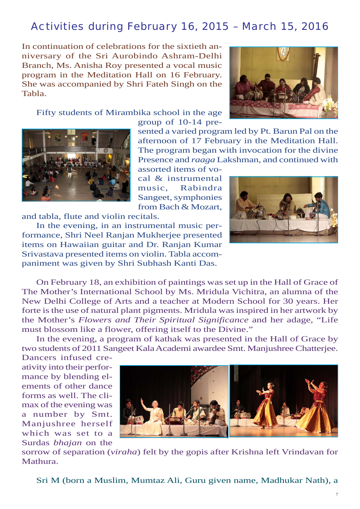### Activities during February 16, 2015 – March 15, 2016

In continuation of celebrations for the sixtieth anniversary of the Sri Aurobindo Ashram-Delhi Branch, Ms. Anisha Roy presented a vocal music program in the Meditation Hall on 16 February. She was accompanied by Shri Fateh Singh on the Tabla.

Fifty students of Mirambika school in the age group of 10-14 pre-

> sented a varied program led by Pt. Barun Pal on the afternoon of 17 February in the Meditation Hall. The program began with invocation for the divine Presence and *raaga* Lakshman, and continued with assorted items of vo-

cal & instrumental music, Rabindra Sangeet, symphonies from Bach & Mozart,

and tabla, flute and violin recitals.

In the evening, in an instrumental music performance, Shri Neel Ranjan Mukherjee presented items on Hawaiian guitar and Dr. Ranjan Kumar Srivastava presented items on violin. Tabla accompaniment was given by Shri Subhash Kanti Das.

On February 18, an exhibition of paintings was set up in the Hall of Grace of The Mother's International School by Ms. Mridula Vichitra, an alumna of the New Delhi College of Arts and a teacher at Modern School for 30 years. Her forte is the use of natural plant pigments. Mridula was inspired in her artwork by the Mother's *Flowers and Their Spiritual Significance* and her adage, "Life must blossom like a flower, offering itself to the Divine."

In the evening, a program of kathak was presented in the Hall of Grace by two students of 2011 Sangeet Kala Academi awardee Smt. Manjushree Chatterjee.

Dancers infused creativity into their performance by blending elements of other dance forms as well. The climax of the evening was a number by Smt. Manjushree herself which was set to a Surdas *bhajan* on the

sorrow of separation (*viraha*) felt by the gopis after Krishna left Vrindavan for Mathura.

Sri M (born a Muslim, Mumtaz Ali, Guru given name, Madhukar Nath), a





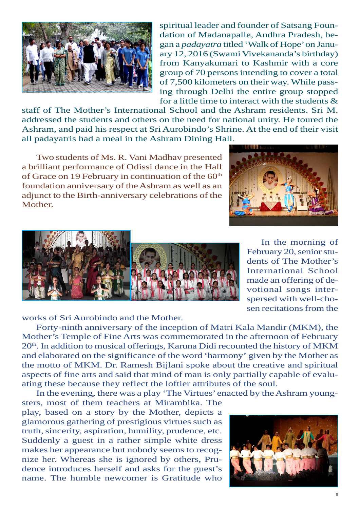

spiritual leader and founder of Satsang Foundation of Madanapalle, Andhra Pradesh, began a *padayatra* titled 'Walk of Hope' on January 12, 2016 (Swami Vivekananda's birthday) from Kanyakumari to Kashmir with a core group of 70 persons intending to cover a total of 7,500 kilometers on their way. While passing through Delhi the entire group stopped for a little time to interact with the students &

staff of The Mother's International School and the Ashram residents. Sri M. addressed the students and others on the need for national unity. He toured the Ashram, and paid his respect at Sri Aurobindo's Shrine. At the end of their visit all padayatris had a meal in the Ashram Dining Hall.

Two students of Ms. R. Vani Madhav presented a brilliant performance of Odissi dance in the Hall of Grace on 19 February in continuation of the  $60<sup>th</sup>$ foundation anniversary of the Ashram as well as an adjunct to the Birth-anniversary celebrations of the **Mother** 





In the morning of February 20, senior students of The Mother's International School made an offering of devotional songs interspersed with well-chosen recitations from the

works of Sri Aurobindo and the Mother.

Forty-ninth anniversary of the inception of Matri Kala Mandir (MKM), the Mother's Temple of Fine Arts was commemorated in the afternoon of February 20<sup>th</sup>. In addition to musical offerings, Karuna Didi recounted the history of MKM and elaborated on the significance of the word 'harmony' given by the Mother as the motto of MKM. Dr. Ramesh Bijlani spoke about the creative and spiritual aspects of fine arts and said that mind of man is only partially capable of evaluating these because they reflect the loftier attributes of the soul.

In the evening, there was a play 'The Virtues' enacted by the Ashram young-

sters, most of them teachers at Mirambika. The play, based on a story by the Mother, depicts a glamorous gathering of prestigious virtues such as truth, sincerity, aspiration, humility, prudence, etc. Suddenly a guest in a rather simple white dress makes her appearance but nobody seems to recognize her. Whereas she is ignored by others, Prudence introduces herself and asks for the guest's name. The humble newcomer is Gratitude who

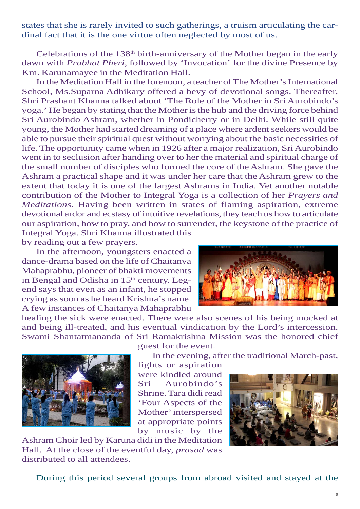states that she is rarely invited to such gatherings, a truism articulating the cardinal fact that it is the one virtue often neglected by most of us.

Celebrations of the 138<sup>th</sup> birth-anniversary of the Mother began in the early dawn with *Prabhat Pheri*, followed by 'Invocation' for the divine Presence by Km. Karunamayee in the Meditation Hall.

In the Meditation Hall in the forenoon, a teacher of The Mother's International School, Ms.Suparna Adhikary offered a bevy of devotional songs. Thereafter, Shri Prashant Khanna talked about 'The Role of the Mother in Sri Aurobindo's yoga.' He began by stating that the Mother is the hub and the driving force behind Sri Aurobindo Ashram, whether in Pondicherry or in Delhi. While still quite young, the Mother had started dreaming of a place where ardent seekers would be able to pursue their spiritual quest without worrying about the basic necessities of life. The opportunity came when in 1926 after a major realization, Sri Aurobindo went in to seclusion after handing over to her the material and spiritual charge of the small number of disciples who formed the core of the Ashram. She gave the Ashram a practical shape and it was under her care that the Ashram grew to the extent that today it is one of the largest Ashrams in India. Yet another notable contribution of the Mother to Integral Yoga is a collection of her *Prayers and Meditations*. Having been written in states of flaming aspiration, extreme devotional ardor and ecstasy of intuitive revelations, they teach us how to articulate our aspiration, how to pray, and how to surrender, the keystone of the practice of Integral Yoga. Shri Khanna illustrated this

by reading out a few prayers.

In the afternoon, youngsters enacted a dance-drama based on the life of Chaitanya Mahaprabhu, pioneer of bhakti movements in Bengal and Odisha in  $15<sup>th</sup>$  century. Legend says that even as an infant, he stopped crying as soon as he heard Krishna's name. A few instances of Chaitanya Mahaprabhu



healing the sick were enacted. There were also scenes of his being mocked at and being ill-treated, and his eventual vindication by the Lord's intercession. Swami Shantatmananda of Sri Ramakrishna Mission was the honored chief



guest for the event.

In the evening, after the traditional March-past,

lights or aspiration were kindled around Sri Aurobindo's Shrine. Tara didi read 'Four Aspects of the Mother' interspersed at appropriate points by music by the



Ashram Choir led by Karuna didi in the Meditation Hall. At the close of the eventful day, *prasad* was distributed to all attendees.

During this period several groups from abroad visited and stayed at the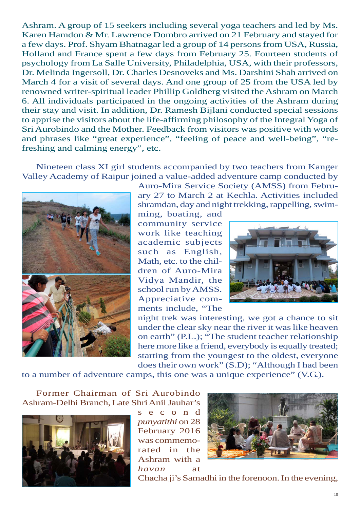Ashram. A group of 15 seekers including several yoga teachers and led by Ms. Karen Hamdon & Mr. Lawrence Dombro arrived on 21 February and stayed for a few days. Prof. Shyam Bhatnagar led a group of 14 persons from USA, Russia, Holland and France spent a few days from February 25. Fourteen students of psychology from La Salle University, Philadelphia, USA, with their professors, Dr. Melinda Ingersoll, Dr. Charles Desnoveks and Ms. Darshini Shah arrived on March 4 for a visit of several days. And one group of 25 from the USA led by renowned writer-spiritual leader Phillip Goldberg visited the Ashram on March 6. All individuals participated in the ongoing activities of the Ashram during their stay and visit. In addition, Dr. Ramesh Bijlani conducted special sessions to apprise the visitors about the life-affirming philosophy of the Integral Yoga of Sri Aurobindo and the Mother. Feedback from visitors was positive with words and phrases like "great experience", "feeling of peace and well-being", "refreshing and calming energy", etc.

Nineteen class XI girl students accompanied by two teachers from Kanger Valley Academy of Raipur joined a value-added adventure camp conducted by



Auro-Mira Service Society (AMSS) from February 27 to March 2 at Kechla. Activities included shramdan, day and night trekking, rappelling, swim-

ming, boating, and community service work like teaching academic subjects such as English, Math, etc. to the children of Auro-Mira Vidya Mandir, the school run by AMSS. Appreciative comments include, "The



night trek was interesting, we got a chance to sit under the clear sky near the river it was like heaven on earth" (P.L.); "The student teacher relationship here more like a friend, everybody is equally treated; starting from the youngest to the oldest, everyone does their own work" (S.D); "Although I had been

to a number of adventure camps, this one was a unique experience" (V.G.).

Former Chairman of Sri Aurobindo Ashram-Delhi Branch, Late Shri Anil Jauhar's



second *punyatithi* on 28 February 2016 was commemorated in the Ashram with a *havan* at



Chacha ji's Samadhi in the forenoon. In the evening,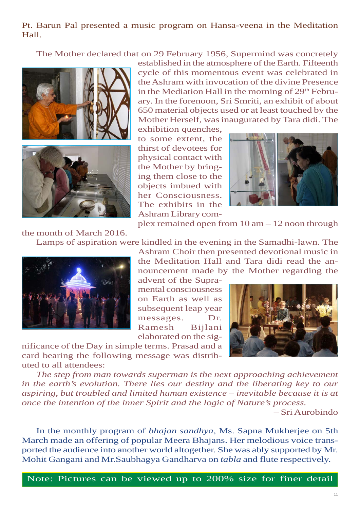#### Pt. Barun Pal presented a music program on Hansa-veena in the Meditation Hall.

The Mother declared that on 29 February 1956, Supermind was concretely



established in the atmosphere of the Earth. Fifteenth cycle of this momentous event was celebrated in the Ashram with invocation of the divine Presence in the Mediation Hall in the morning of 29<sup>th</sup> February. In the forenoon, Sri Smriti, an exhibit of about 650 material objects used or at least touched by the Mother Herself, was inaugurated by Tara didi. The

exhibition quenches, to some extent, the thirst of devotees for physical contact with the Mother by bringing them close to the objects imbued with her Consciousness. The exhibits in the Ashram Library com-



plex remained open from 10 am – 12 noon through the month of March 2016.

Lamps of aspiration were kindled in the evening in the Samadhi-lawn. The



Ashram Choir then presented devotional music in the Meditation Hall and Tara didi read the announcement made by the Mother regarding the

advent of the Supramental consciousness on Earth as well as subsequent leap year messages. Dr. Ramesh Bijlani elaborated on the sig-

nificance of the Day in simple terms. Prasad and a card bearing the following message was distributed to all attendees:

*The step from man towards superman is the next approaching achievement in the earth's evolution. There lies our destiny and the liberating key to our aspiring, but troubled and limited human existence – inevitable because it is at once the intention of the inner Spirit and the logic of Nature's process.*

– Sri Aurobindo

In the monthly program of *bhajan sandhya*, Ms. Sapna Mukherjee on 5th March made an offering of popular Meera Bhajans. Her melodious voice transported the audience into another world altogether. She was ably supported by Mr. Mohit Gangani and Mr.Saubhagya Gandharva on *tabla* and flute respectively.

Note: Pictures can be viewed up to 200% size for finer detail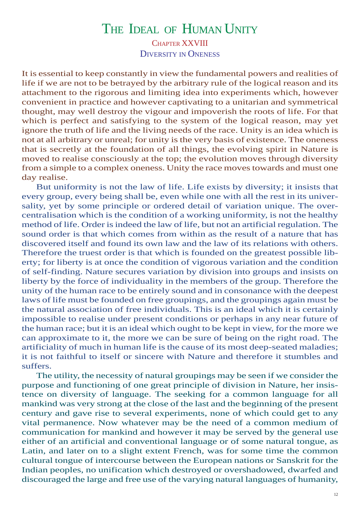### THE IDEAL OF HUMAN UNITY

CHAPTER XXVIII DIVERSITY IN ONENESS

It is essential to keep constantly in view the fundamental powers and realities of life if we are not to be betrayed by the arbitrary rule of the logical reason and its attachment to the rigorous and limiting idea into experiments which, however convenient in practice and however captivating to a unitarian and symmetrical thought, may well destroy the vigour and impoverish the roots of life. For that which is perfect and satisfying to the system of the logical reason, may yet ignore the truth of life and the living needs of the race. Unity is an idea which is not at all arbitrary or unreal; for unity is the very basis of existence. The oneness that is secretly at the foundation of all things, the evolving spirit in Nature is moved to realise consciously at the top; the evolution moves through diversity from a simple to a complex oneness. Unity the race moves towards and must one day realise.

But uniformity is not the law of life. Life exists by diversity; it insists that every group, every being shall be, even while one with all the rest in its universality, yet by some principle or ordered detail of variation unique. The overcentralisation which is the condition of a working uniformity, is not the healthy method of life. Order is indeed the law of life, but not an artificial regulation. The sound order is that which comes from within as the result of a nature that has discovered itself and found its own law and the law of its relations with others. Therefore the truest order is that which is founded on the greatest possible liberty; for liberty is at once the condition of vigorous variation and the condition of self-finding. Nature secures variation by division into groups and insists on liberty by the force of individuality in the members of the group. Therefore the unity of the human race to be entirely sound and in consonance with the deepest laws of life must be founded on free groupings, and the groupings again must be the natural association of free individuals. This is an ideal which it is certainly impossible to realise under present conditions or perhaps in any near future of the human race; but it is an ideal which ought to be kept in view, for the more we can approximate to it, the more we can be sure of being on the right road. The artificiality of much in human life is the cause of its most deep-seated maladies; it is not faithful to itself or sincere with Nature and therefore it stumbles and suffers.

The utility, the necessity of natural groupings may be seen if we consider the purpose and functioning of one great principle of division in Nature, her insistence on diversity of language. The seeking for a common language for all mankind was very strong at the close of the last and the beginning of the present century and gave rise to several experiments, none of which could get to any vital permanence. Now whatever may be the need of a common medium of communication for mankind and however it may be served by the general use either of an artificial and conventional language or of some natural tongue, as Latin, and later on to a slight extent French, was for some time the common cultural tongue of intercourse between the European nations or Sanskrit for the Indian peoples, no unification which destroyed or overshadowed, dwarfed and discouraged the large and free use of the varying natural languages of humanity,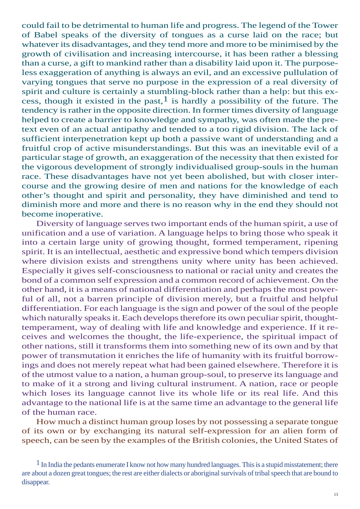could fail to be detrimental to human life and progress. The legend of the Tower of Babel speaks of the diversity of tongues as a curse laid on the race; but whatever its disadvantages, and they tend more and more to be minimised by the growth of civilisation and increasing intercourse, it has been rather a blessing than a curse, a gift to mankind rather than a disability laid upon it. The purposeless exaggeration of anything is always an evil, and an excessive pullulation of varying tongues that serve no purpose in the expression of a real diversity of spirit and culture is certainly a stumbling-block rather than a help: but this excess, though it existed in the past,  $\frac{1}{1}$  is hardly a possibility of the future. The tendency is rather in the opposite direction. In former times diversity of language helped to create a barrier to knowledge and sympathy, was often made the pretext even of an actual antipathy and tended to a too rigid division. The lack of sufficient interpenetration kept up both a passive want of understanding and a fruitful crop of active misunderstandings. But this was an inevitable evil of a particular stage of growth, an exaggeration of the necessity that then existed for the vigorous development of strongly individualised group-souls in the human race. These disadvantages have not yet been abolished, but with closer intercourse and the growing desire of men and nations for the knowledge of each other's thought and spirit and personality, they have diminished and tend to diminish more and more and there is no reason why in the end they should not become inoperative.

Diversity of language serves two important ends of the human spirit, a use of unification and a use of variation. A language helps to bring those who speak it into a certain large unity of growing thought, formed temperament, ripening spirit. It is an intellectual, aesthetic and expressive bond which tempers division where division exists and strengthens unity where unity has been achieved. Especially it gives self-consciousness to national or racial unity and creates the bond of a common self expression and a common record of achievement. On the other hand, it is a means of national differentiation and perhaps the most powerful of all, not a barren principle of division merely, but a fruitful and helpful differentiation. For each language is the sign and power of the soul of the people which naturally speaks it. Each develops therefore its own peculiar spirit, thoughttemperament, way of dealing with life and knowledge and experience. If it receives and welcomes the thought, the life-experience, the spiritual impact of other nations, still it transforms them into something new of its own and by that power of transmutation it enriches the life of humanity with its fruitful borrowings and does not merely repeat what had been gained elsewhere. Therefore it is of the utmost value to a nation, a human group-soul, to preserve its language and to make of it a strong and living cultural instrument. A nation, race or people which loses its language cannot live its whole life or its real life. And this advantage to the national life is at the same time an advantage to the general life of the human race.

How much a distinct human group loses by not possessing a separate tongue of its own or by exchanging its natural self-expression for an alien form of speech, can be seen by the examples of the British colonies, the United States of

<sup>&</sup>lt;sup>1</sup> In India the pedants enumerate I know not how many hundred languages. This is a stupid misstatement; there are about a dozen great tongues; the rest are either dialects or aboriginal survivals of tribal speech that are bound to disappear.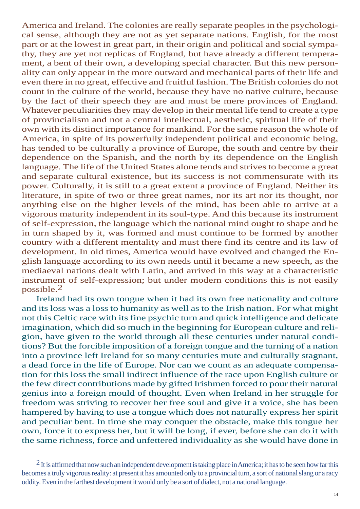America and Ireland. The colonies are really separate peoples in the psychological sense, although they are not as yet separate nations. English, for the most part or at the lowest in great part, in their origin and political and social sympathy, they are yet not replicas of England, but have already a different temperament, a bent of their own, a developing special character. But this new personality can only appear in the more outward and mechanical parts of their life and even there in no great, effective and fruitful fashion. The British colonies do not count in the culture of the world, because they have no native culture, because by the fact of their speech they are and must be mere provinces of England. Whatever peculiarities they may develop in their mental life tend to create a type of provincialism and not a central intellectual, aesthetic, spiritual life of their own with its distinct importance for mankind. For the same reason the whole of America, in spite of its powerfully independent political and economic being, has tended to be culturally a province of Europe, the south and centre by their dependence on the Spanish, and the north by its dependence on the English language. The life of the United States alone tends and strives to become a great and separate cultural existence, but its success is not commensurate with its power. Culturally, it is still to a great extent a province of England. Neither its literature, in spite of two or three great names, nor its art nor its thought, nor anything else on the higher levels of the mind, has been able to arrive at a vigorous maturity independent in its soul-type. And this because its instrument of self-expression, the language which the national mind ought to shape and be in turn shaped by it, was formed and must continue to be formed by another country with a different mentality and must there find its centre and its law of development. In old times, America would have evolved and changed the English language according to its own needs until it became a new speech, as the mediaeval nations dealt with Latin, and arrived in this way at a characteristic instrument of self-expression; but under modern conditions this is not easily possible.2

Ireland had its own tongue when it had its own free nationality and culture and its loss was a loss to humanity as well as to the Irish nation. For what might not this Celtic race with its fine psychic turn and quick intelligence and delicate imagination, which did so much in the beginning for European culture and religion, have given to the world through all these centuries under natural conditions? But the forcible imposition of a foreign tongue and the turning of a nation into a province left Ireland for so many centuries mute and culturally stagnant, a dead force in the life of Europe. Nor can we count as an adequate compensation for this loss the small indirect influence of the race upon English culture or the few direct contributions made by gifted Irishmen forced to pour their natural genius into a foreign mould of thought. Even when Ireland in her struggle for freedom was striving to recover her free soul and give it a voice, she has been hampered by having to use a tongue which does not naturally express her spirit and peculiar bent. In time she may conquer the obstacle, make this tongue her own, force it to express her, but it will be long, if ever, before she can do it with the same richness, force and unfettered individuality as she would have done in

<sup>&</sup>lt;sup>2</sup> It is affirmed that now such an independent development is taking place in America; it has to be seen how far this becomes a truly vigorous reality: at present it has amounted only to a provincial turn, a sort of national slang or a racy oddity. Even in the farthest development it would only be a sort of dialect, not a national language.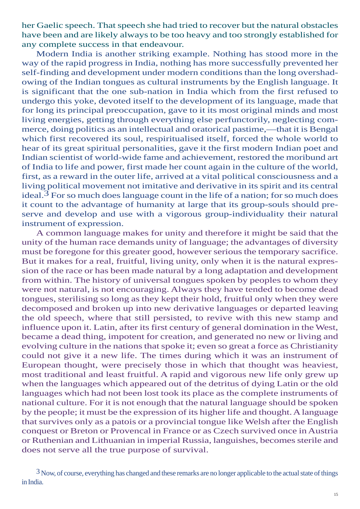her Gaelic speech. That speech she had tried to recover but the natural obstacles have been and are likely always to be too heavy and too strongly established for any complete success in that endeavour.

Modern India is another striking example. Nothing has stood more in the way of the rapid progress in India, nothing has more successfully prevented her self-finding and development under modern conditions than the long overshadowing of the Indian tongues as cultural instruments by the English language. It is significant that the one sub-nation in India which from the first refused to undergo this yoke, devoted itself to the development of its language, made that for long its principal preoccupation, gave to it its most original minds and most living energies, getting through everything else perfunctorily, neglecting commerce, doing politics as an intellectual and oratorical pastime,—that it is Bengal which first recovered its soul, respiritualised itself, forced the whole world to hear of its great spiritual personalities, gave it the first modern Indian poet and Indian scientist of world-wide fame and achievement, restored the moribund art of India to life and power, first made her count again in the culture of the world, first, as a reward in the outer life, arrived at a vital political consciousness and a living political movement not imitative and derivative in its spirit and its central ideal.<sup>3</sup> For so much does language count in the life of a nation; for so much does it count to the advantage of humanity at large that its group-souls should preserve and develop and use with a vigorous group-individuality their natural instrument of expression.

A common language makes for unity and therefore it might be said that the unity of the human race demands unity of language; the advantages of diversity must be foregone for this greater good, however serious the temporary sacrifice. But it makes for a real, fruitful, living unity, only when it is the natural expression of the race or has been made natural by a long adaptation and development from within. The history of universal tongues spoken by peoples to whom they were not natural, is not encouraging. Always they have tended to become dead tongues, sterilising so long as they kept their hold, fruitful only when they were decomposed and broken up into new derivative languages or departed leaving the old speech, where that still persisted, to revive with this new stamp and influence upon it. Latin, after its first century of general domination in the West, became a dead thing, impotent for creation, and generated no new or living and evolving culture in the nations that spoke it; even so great a force as Christianity could not give it a new life. The times during which it was an instrument of European thought, were precisely those in which that thought was heaviest, most traditional and least fruitful. A rapid and vigorous new life only grew up when the languages which appeared out of the detritus of dying Latin or the old languages which had not been lost took its place as the complete instruments of national culture. For it is not enough that the natural language should be spoken by the people; it must be the expression of its higher life and thought. A language that survives only as a patois or a provincial tongue like Welsh after the English conquest or Breton or Provencal in France or as Czech survived once in Austria or Ruthenian and Lithuanian in imperial Russia, languishes, becomes sterile and does not serve all the true purpose of survival.

 $3$  Now, of course, everything has changed and these remarks are no longer applicable to the actual state of things in India.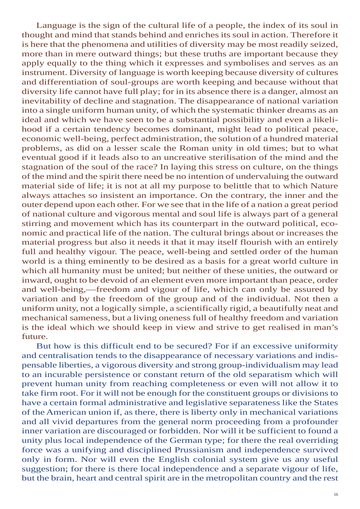Language is the sign of the cultural life of a people, the index of its soul in thought and mind that stands behind and enriches its soul in action. Therefore it is here that the phenomena and utilities of diversity may be most readily seized, more than in mere outward things; but these truths are important because they apply equally to the thing which it expresses and symbolises and serves as an instrument. Diversity of language is worth keeping because diversity of cultures and differentiation of soul-groups are worth keeping and because without that diversity life cannot have full play; for in its absence there is a danger, almost an inevitability of decline and stagnation. The disappearance of national variation into a single uniform human unity, of which the systematic thinker dreams as an ideal and which we have seen to be a substantial possibility and even a likelihood if a certain tendency becomes dominant, might lead to political peace, economic well-being, perfect administration, the solution of a hundred material problems, as did on a lesser scale the Roman unity in old times; but to what eventual good if it leads also to an uncreative sterilisation of the mind and the stagnation of the soul of the race? In laying this stress on culture, on the things of the mind and the spirit there need be no intention of undervaluing the outward material side of life; it is not at all my purpose to belittle that to which Nature always attaches so insistent an importance. On the contrary, the inner and the outer depend upon each other. For we see that in the life of a nation a great period of national culture and vigorous mental and soul life is always part of a general stirring and movement which has its counterpart in the outward political, economic and practical life of the nation. The cultural brings about or increases the material progress but also it needs it that it may itself flourish with an entirely full and healthy vigour. The peace, well-being and settled order of the human world is a thing eminently to be desired as a basis for a great world culture in which all humanity must be united; but neither of these unities, the outward or inward, ought to be devoid of an element even more important than peace, order and well-being,—freedom and vigour of life, which can only be assured by variation and by the freedom of the group and of the individual. Not then a uniform unity, not a logically simple, a scientifically rigid, a beautifully neat and mechanical sameness, but a living oneness full of healthy freedom and variation is the ideal which we should keep in view and strive to get realised in man's future.

But how is this difficult end to be secured? For if an excessive uniformity and centralisation tends to the disappearance of necessary variations and indispensable liberties, a vigorous diversity and strong group-individualism may lead to an incurable persistence or constant return of the old separatism which will prevent human unity from reaching completeness or even will not allow it to take firm root. For it will not be enough for the constituent groups or divisions to have a certain formal administrative and legislative separateness like the States of the American union if, as there, there is liberty only in mechanical variations and all vivid departures from the general norm proceeding from a profounder inner variation are discouraged or forbidden. Nor will it be sufficient to found a unity plus local independence of the German type; for there the real overriding force was a unifying and disciplined Prussianism and independence survived only in form. Nor will even the English colonial system give us any useful suggestion; for there is there local independence and a separate vigour of life, but the brain, heart and central spirit are in the metropolitan country and the rest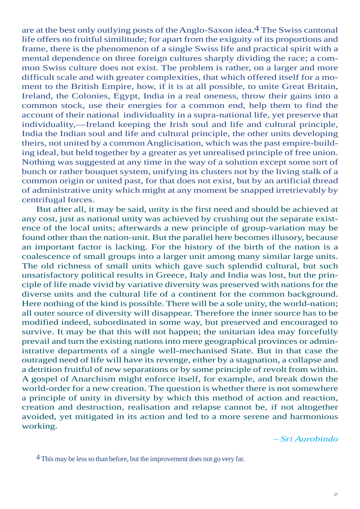are at the best only outlying posts of the Anglo-Saxon idea.4 The Swiss cantonal life offers no fruitful similitude; for apart from the exiguity of its proportions and frame, there is the phenomenon of a single Swiss life and practical spirit with a mental dependence on three foreign cultures sharply dividing the race; a common Swiss culture does not exist. The problem is rather, on a larger and more difficult scale and with greater complexities, that which offered itself for a moment to the British Empire, how, if it is at all possible, to unite Great Britain, Ireland, the Colonies, Egypt, India in a real oneness, throw their gains into a common stock, use their energies for a common end, help them to find the account of their national individuality in a supra-national life, yet preserve that individuality,—Ireland keeping the Irish soul and life and cultural principle, India the Indian soul and life and cultural principle, the other units developing theirs, not united by a common Anglicisation, which was the past empire-building ideal, but held together by a greater as yet unrealised principle of free union. Nothing was suggested at any time in the way of a solution except some sort of bunch or rather bouquet system, unifying its clusters not by the living stalk of a common origin or united past, for that does not exist, but by an artificial thread of administrative unity which might at any moment be snapped irretrievably by centrifugal forces.

But after all, it may be said, unity is the first need and should be achieved at any cost, just as national unity was achieved by crushing out the separate existence of the local units; afterwards a new principle of group-variation may be found other than the nation-unit. But the parallel here becomes illusory, because an important factor is lacking. For the history of the birth of the nation is a coalescence of small groups into a larger unit among many similar large units. The old richness of small units which gave such splendid cultural, but such unsatisfactory political results in Greece, Italy and India was lost, but the principle of life made vivid by variative diversity was preserved with nations for the diverse units and the cultural life of a continent for the common background. Here nothing of the kind is possible. There will be a sole unity, the world-nation; all outer source of diversity will disappear. Therefore the inner source has to be modified indeed, subordinated in some way, but preserved and encouraged to survive. It may be that this will not happen; the unitarian idea may forcefully prevail and turn the existing nations into mere geographical provinces or administrative departments of a single well-mechanised State. But in that case the outraged need of life will have its revenge, either by a stagnation, a collapse and a detrition fruitful of new separations or by some principle of revolt from within. A gospel of Anarchism might enforce itself, for example, and break down the world-order for a new creation. The question is whether there is not somewhere a principle of unity in diversity by which this method of action and reaction, creation and destruction, realisation and relapse cannot be, if not altogether avoided, yet mitigated in its action and led to a more serene and harmonious working.

– *Sri Aurobindo*

<sup>&</sup>lt;sup>4</sup> This may be less so than before, but the improvement does not go very far.